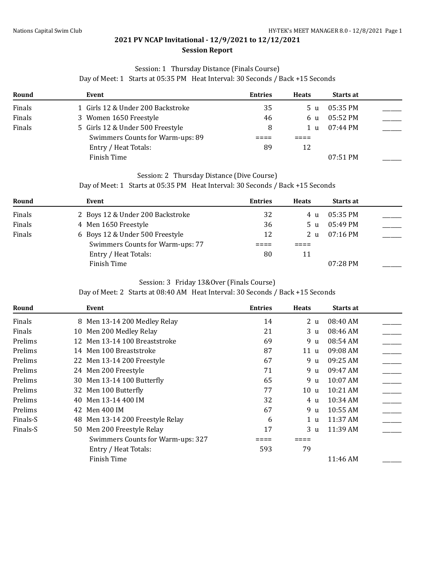#### Session: 1 Thursday Distance (Finals Course)

Day of Meet: 1 Starts at 05:35 PM Heat Interval: 30 Seconds / Back +15 Seconds

| Round  | Event                             | <b>Entries</b> | <b>Heats</b> | <b>Starts at</b> |  |
|--------|-----------------------------------|----------------|--------------|------------------|--|
| Finals | 1 Girls 12 & Under 200 Backstroke | 35             | 5 u          | $05:35$ PM       |  |
| Finals | 3 Women 1650 Freestyle            | 46             | 6 u          | 05:52 PM         |  |
| Finals | 5 Girls 12 & Under 500 Freestyle  | 8              | 1 u          | 07:44 PM         |  |
|        | Swimmers Counts for Warm-ups: 89  |                |              |                  |  |
|        | Entry / Heat Totals:              | 89             | 12           |                  |  |
|        | Finish Time                       |                |              | $07:51$ PM       |  |

#### Session: 2 Thursday Distance (Dive Course)

Day of Meet: 1 Starts at 05:35 PM Heat Interval: 30 Seconds / Back +15 Seconds

| Round  | Event                            | <b>Entries</b> | <b>Heats</b> | <b>Starts at</b> |  |
|--------|----------------------------------|----------------|--------------|------------------|--|
| Finals | 2 Boys 12 & Under 200 Backstroke | 32             | 4 11         | $05:35$ PM       |  |
| Finals | 4 Men 1650 Freestyle             | 36             | 5 u          | 05:49 PM         |  |
| Finals | 6 Boys 12 & Under 500 Freestyle  | 12             | 2 u          | $07:16$ PM       |  |
|        | Swimmers Counts for Warm-ups: 77 |                |              |                  |  |
|        | Entry / Heat Totals:             | 80             | 11           |                  |  |
|        | Finish Time                      |                |              | $07:28$ PM       |  |

#### Session: 3 Friday 13&Over (Finals Course)

Day of Meet: 2 Starts at 08:40 AM Heat Interval: 30 Seconds / Back +15 Seconds

| Round    | Event                             | <b>Entries</b> | <b>Heats</b>    | Starts at  |  |
|----------|-----------------------------------|----------------|-----------------|------------|--|
| Finals   | 8 Men 13-14 200 Medley Relay      | 14             | 2 <sub>u</sub>  | 08:40 AM   |  |
| Finals   | 10 Men 200 Medley Relay           | 21             | 3 <sub>u</sub>  | 08:46 AM   |  |
| Prelims  | 12 Men 13-14 100 Breaststroke     | 69             | 9 u             | 08:54 AM   |  |
| Prelims  | 14 Men 100 Breaststroke           | 87             | 11u             | 09:08 AM   |  |
| Prelims  | 22 Men 13-14 200 Freestyle        | 67             | 9 u             | 09:25 AM   |  |
| Prelims  | 24 Men 200 Freestyle              | 71             | 9 u             | 09:47 AM   |  |
| Prelims  | 30 Men 13-14 100 Butterfly        | 65             | 9 u             | 10:07 AM   |  |
| Prelims  | 32 Men 100 Butterfly              | 77             | 10 <sub>u</sub> | 10:21 AM   |  |
| Prelims  | Men 13-14 400 IM<br>40            | 32             | 4 u             | $10:34$ AM |  |
| Prelims  | Men 400 IM<br>42                  | 67             | 9 <sub>u</sub>  | 10:55 AM   |  |
| Finals-S | 48 Men 13-14 200 Freestyle Relay  | 6              | 1 <sub>u</sub>  | 11:37 AM   |  |
| Finals-S | 50 Men 200 Freestyle Relay        | 17             | 3 <sub>u</sub>  | 11:39 AM   |  |
|          | Swimmers Counts for Warm-ups: 327 |                |                 |            |  |
|          | Entry / Heat Totals:              | 593            | 79              |            |  |
|          | Finish Time                       |                |                 | 11:46 AM   |  |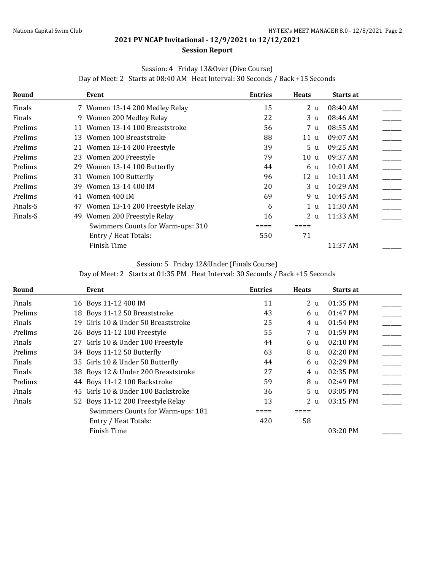#### **Session Report**

#### Session: 4 Friday 13&Over (Dive Course)

Day of Meet: 2 Starts at 08:40 AM Heat Interval: 30 Seconds / Back +15 Seconds

| Round    | Event                                 | <b>Entries</b> | <b>Heats</b>   | <b>Starts at</b> |  |
|----------|---------------------------------------|----------------|----------------|------------------|--|
| Finals   | 7 Women 13-14 200 Medley Relay        | 15             | 2 <sub>u</sub> | 08:40 AM         |  |
| Finals   | 9 Women 200 Medley Relay              | 22             | 3 <sub>u</sub> | 08:46 AM         |  |
| Prelims  | 11 Women 13-14 100 Breaststroke       | 56             | 7 u            | 08:55 AM         |  |
| Prelims  | Women 100 Breaststroke<br>13          | 88             | 11 u           | 09:07 AM         |  |
| Prelims  | 21 Women 13-14 200 Freestyle          | 39             | 5 <sub>u</sub> | 09:25 AM         |  |
| Prelims  | 23 Women 200 Freestyle                | 79             | 10 u           | 09:37 AM         |  |
| Prelims  | 29 Women 13-14 100 Butterfly          | 44             | 6 u            | $10:01$ AM       |  |
| Prelims  | 31 Women 100 Butterfly                | 96             | 12u            | 10:11 AM         |  |
| Prelims  | Women 13-14 400 IM<br>39              | 20             | 3 <sub>u</sub> | $10:29$ AM       |  |
| Prelims  | Women 400 IM<br>41                    | 69             | 9 u            | 10:45 AM         |  |
| Finals-S | Women 13-14 200 Freestyle Relay<br>47 | 6              | 1 <sub>u</sub> | 11:30 AM         |  |
| Finals-S | Women 200 Freestyle Relay<br>49       | 16             | 2 u            | 11:33 AM         |  |
|          | Swimmers Counts for Warm-ups: 310     |                |                |                  |  |
|          | Entry / Heat Totals:                  | 550            | 71             |                  |  |
|          | Finish Time                           |                |                | 11:37 AM         |  |

#### Session: 5 Friday 12&Under (Finals Course)

Day of Meet: 2 Starts at 01:35 PM Heat Interval: 30 Seconds / Back +15 Seconds

| Round   | Event                                   | <b>Entries</b> | <b>Heats</b>   | Starts at          |  |
|---------|-----------------------------------------|----------------|----------------|--------------------|--|
| Finals  | 16 Boys 11-12 400 IM                    | 11             | 2 u            | 01:35 PM           |  |
| Prelims | 18 Boys 11-12 50 Breaststroke           | 43             | 6 u            | $01:47$ PM         |  |
| Finals  | Girls 10 & Under 50 Breaststroke<br>19. | 25             | 4 u            | 01:54 PM           |  |
| Prelims | 26 Boys 11-12 100 Freestyle             | 55             | 7 u            | 01:59 PM           |  |
| Finals  | 27 Girls 10 & Under 100 Freestyle       | 44             | 6 u            | $02:10 \text{ PM}$ |  |
| Prelims | 34 Boys 11-12 50 Butterfly              | 63             | 8 u            | 02:20 PM           |  |
| Finals  | 35 Girls 10 & Under 50 Butterfly        | 44             | 6 u            | $02:29$ PM         |  |
| Finals  | 38 Boys 12 & Under 200 Breaststroke     | 27             | 4 u            | 02:35 PM           |  |
| Prelims | 44 Boys 11-12 100 Backstroke            | 59             | 8 u            | 02:49 PM           |  |
| Finals  | 45 Girls 10 & Under 100 Backstroke      | 36             | 5 <sub>u</sub> | 03:05 PM           |  |
| Finals  | 52 Boys 11-12 200 Freestyle Relay       | 13             | 2 <sub>u</sub> | $03:15$ PM         |  |
|         | Swimmers Counts for Warm-ups: 181       |                |                |                    |  |
|         | Entry / Heat Totals:                    | 420            | 58             |                    |  |
|         | Finish Time                             |                |                | $03:20$ PM         |  |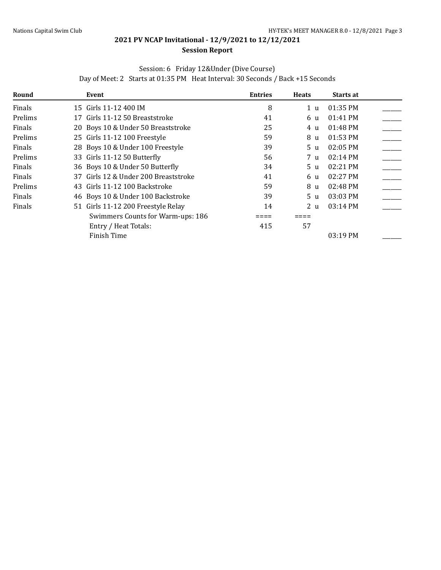#### **Session Report**

### Session: 6 Friday 12&Under (Dive Course)

Day of Meet: 2 Starts at 01:35 PM Heat Interval: 30 Seconds / Back +15 Seconds

| Round   | Event                                | <b>Entries</b> | <b>Heats</b>   | Starts at          |  |
|---------|--------------------------------------|----------------|----------------|--------------------|--|
| Finals  | 15 Girls 11-12 400 IM                | 8              | 1 u            | 01:35 PM           |  |
| Prelims | 17 Girls 11-12 50 Breaststroke       | 41             | 6 u            | 01:41 PM           |  |
| Finals  | 20 Boys 10 & Under 50 Breaststroke   | 25             | 4 u            | 01:48 PM           |  |
| Prelims | 25 Girls 11-12 100 Freestyle         | 59             | 8 u            | 01:53 PM           |  |
| Finals  | 28 Boys 10 & Under 100 Freestyle     | 39             | 5 <sub>u</sub> | 02:05 PM           |  |
| Prelims | 33 Girls 11-12 50 Butterfly          | 56             | 7 u            | $02:14 \text{ PM}$ |  |
| Finals  | 36 Boys 10 & Under 50 Butterfly      | 34             | 5 <sub>u</sub> | 02:21 PM           |  |
| Finals  | 37 Girls 12 & Under 200 Breaststroke | 41             | 6 u            | $02:27$ PM         |  |
| Prelims | 43 Girls 11-12 100 Backstroke        | 59             | 8 u            | $02:48$ PM         |  |
| Finals  | 46 Boys 10 & Under 100 Backstroke    | 39             | 5 u            | $03:03$ PM         |  |
| Finals  | 51 Girls 11-12 200 Freestyle Relay   | 14             | 2 u            | 03:14 PM           |  |
|         | Swimmers Counts for Warm-ups: 186    |                |                |                    |  |
|         | Entry / Heat Totals:                 | 415            | 57             |                    |  |
|         | Finish Time                          |                |                | $03:19$ PM         |  |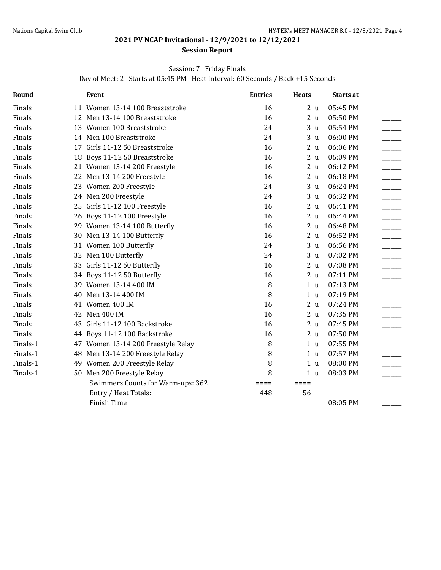#### **Session Report**

#### Session: 7 Friday Finals

Day of Meet: 2 Starts at 05:45 PM Heat Interval: 60 Seconds / Back +15 Seconds

| Round    |    | Event                              | <b>Entries</b> | <b>Heats</b>   | <b>Starts at</b> |  |
|----------|----|------------------------------------|----------------|----------------|------------------|--|
| Finals   |    | 11 Women 13-14 100 Breaststroke    | 16             | 2 <sub>u</sub> | 05:45 PM         |  |
| Finals   |    | 12 Men 13-14 100 Breaststroke      | 16             | 2 <sub>u</sub> | 05:50 PM         |  |
| Finals   |    | 13 Women 100 Breaststroke          | 24             | 3 <sub>u</sub> | 05:54 PM         |  |
| Finals   |    | 14 Men 100 Breaststroke            | 24             | 3 <sub>u</sub> | 06:00 PM         |  |
| Finals   |    | 17 Girls 11-12 50 Breaststroke     | 16             | 2 <sub>u</sub> | 06:06 PM         |  |
| Finals   | 18 | Boys 11-12 50 Breaststroke         | 16             | 2 <sub>u</sub> | 06:09 PM         |  |
| Finals   |    | 21 Women 13-14 200 Freestyle       | 16             | 2 <sub>u</sub> | 06:12 PM         |  |
| Finals   |    | 22 Men 13-14 200 Freestyle         | 16             | 2 <sub>u</sub> | 06:18 PM         |  |
| Finals   |    | 23 Women 200 Freestyle             | 24             | 3 <sub>u</sub> | 06:24 PM         |  |
| Finals   |    | 24 Men 200 Freestyle               | 24             | 3 <sub>u</sub> | 06:32 PM         |  |
| Finals   |    | 25 Girls 11-12 100 Freestyle       | 16             | 2 <sub>u</sub> | 06:41 PM         |  |
| Finals   |    | 26 Boys 11-12 100 Freestyle        | 16             | 2 <sub>u</sub> | 06:44 PM         |  |
| Finals   |    | 29 Women 13-14 100 Butterfly       | 16             | 2 <sub>u</sub> | 06:48 PM         |  |
| Finals   |    | 30 Men 13-14 100 Butterfly         | 16             | 2 <sub>u</sub> | 06:52 PM         |  |
| Finals   |    | 31 Women 100 Butterfly             | 24             | 3 <sub>u</sub> | 06:56 PM         |  |
| Finals   |    | 32 Men 100 Butterfly               | 24             | 3 <sub>u</sub> | 07:02 PM         |  |
| Finals   |    | 33 Girls 11-12 50 Butterfly        | 16             | 2 <sub>u</sub> | 07:08 PM         |  |
| Finals   |    | 34 Boys 11-12 50 Butterfly         | 16             | 2 <sub>u</sub> | 07:11 PM         |  |
| Finals   |    | 39 Women 13-14 400 IM              | 8              | 1 <sub>u</sub> | 07:13 PM         |  |
| Finals   | 40 | Men 13-14 400 IM                   | 8              | 1 <sub>u</sub> | 07:19 PM         |  |
| Finals   |    | 41 Women 400 IM                    | 16             | 2 <sub>u</sub> | 07:24 PM         |  |
| Finals   |    | 42 Men 400 IM                      | 16             | 2 <sub>u</sub> | 07:35 PM         |  |
| Finals   |    | 43 Girls 11-12 100 Backstroke      | 16             | 2 <sub>u</sub> | 07:45 PM         |  |
| Finals   |    | 44 Boys 11-12 100 Backstroke       | 16             | 2 <sub>u</sub> | 07:50 PM         |  |
| Finals-1 |    | 47 Women 13-14 200 Freestyle Relay | 8              | 1 <sub>u</sub> | 07:55 PM         |  |
| Finals-1 |    | 48 Men 13-14 200 Freestyle Relay   | 8              | 1 <sub>u</sub> | 07:57 PM         |  |
| Finals-1 |    | 49 Women 200 Freestyle Relay       | 8              | 1 <sub>u</sub> | 08:00 PM         |  |
| Finals-1 |    | 50 Men 200 Freestyle Relay         | 8              | 1 <sub>u</sub> | 08:03 PM         |  |
|          |    | Swimmers Counts for Warm-ups: 362  | ====           | $====$         |                  |  |
|          |    | Entry / Heat Totals:               | 448            | 56             |                  |  |
|          |    | Finish Time                        |                |                | 08:05 PM         |  |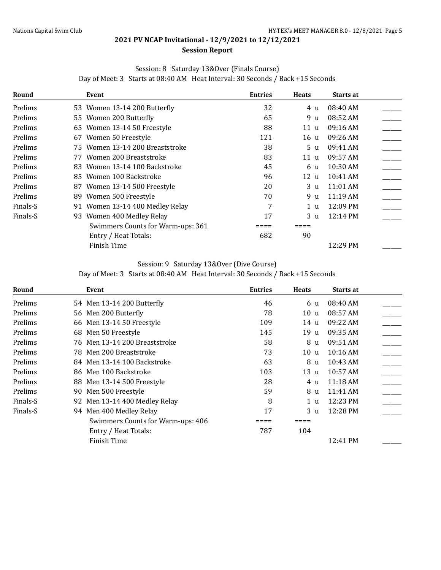#### Session: 8 Saturday 13&Over (Finals Course)

Day of Meet: 3 Starts at 08:40 AM Heat Interval: 30 Seconds / Back +15 Seconds

| Round    | Event                             | <b>Entries</b> | <b>Heats</b>   | Starts at |  |
|----------|-----------------------------------|----------------|----------------|-----------|--|
| Prelims  | 53 Women 13-14 200 Butterfly      | 32             | 4 u            | 08:40 AM  |  |
| Prelims  | 55 Women 200 Butterfly            | 65             | 9 u            | 08:52 AM  |  |
| Prelims  | 65 Women 13-14 50 Freestyle       | 88             | 11 u           | 09:16 AM  |  |
| Prelims  | 67 Women 50 Freestyle             | 121            | 16 u           | 09:26 AM  |  |
| Prelims  | 75 Women 13-14 200 Breaststroke   | 38             | 5 u            | 09:41 AM  |  |
| Prelims  | 77 Women 200 Breaststroke         | 83             | 11 u           | 09:57 AM  |  |
| Prelims  | 83 Women 13-14 100 Backstroke     | 45             | 6 u            | 10:30 AM  |  |
| Prelims  | Women 100 Backstroke<br>85.       | 96             | 12 u           | 10:41 AM  |  |
| Prelims  | 87 Women 13-14 500 Freestyle      | 20             | 3 u            | 11:01 AM  |  |
| Prelims  | Women 500 Freestyle<br>89.        | 70             | 9 u            | 11:19 AM  |  |
| Finals-S | 91 Women 13-14 400 Medley Relay   | 7              | 1 u            | 12:09 PM  |  |
| Finals-S | 93 Women 400 Medley Relay         | 17             | 3 <sub>u</sub> | 12:14 PM  |  |
|          | Swimmers Counts for Warm-ups: 361 |                |                |           |  |
|          | Entry / Heat Totals:              | 682            | 90             |           |  |
|          | Finish Time                       |                |                | 12:29 PM  |  |

#### Session: 9 Saturday 13&Over (Dive Course)

Day of Meet: 3 Starts at 08:40 AM Heat Interval: 30 Seconds / Back +15 Seconds

| Round    | Event                             | <b>Entries</b> | <b>Heats</b>    | Starts at  |  |
|----------|-----------------------------------|----------------|-----------------|------------|--|
| Prelims  | 54 Men 13-14 200 Butterfly        | 46             | 6 u             | 08:40 AM   |  |
| Prelims  | 56 Men 200 Butterfly              | 78             | 10u             | 08:57 AM   |  |
| Prelims  | 66 Men 13-14 50 Freestyle         | 109            | 14 u            | 09:22 AM   |  |
| Prelims  | 68 Men 50 Freestyle               | 145            | 19 <sub>u</sub> | 09:35 AM   |  |
| Prelims  | 76 Men 13-14 200 Breaststroke     | 58             | 8 u             | 09:51 AM   |  |
| Prelims  | 78 Men 200 Breaststroke           | 73             | 10u             | $10:16$ AM |  |
| Prelims  | 84 Men 13-14 100 Backstroke       | 63             | 8 u             | 10:43 AM   |  |
| Prelims  | 86 Men 100 Backstroke             | 103            | 13 u            | 10:57 AM   |  |
| Prelims  | 88 Men 13-14 500 Freestyle        | 28             | 4 u             | 11:18AM    |  |
| Prelims  | Men 500 Freestyle<br>90           | 59             | 8 u             | 11:41 AM   |  |
| Finals-S | 92 Men 13-14 400 Medley Relay     | 8              | 1 <sub>u</sub>  | 12:23 PM   |  |
| Finals-S | 94 Men 400 Medley Relay           | 17             | 3 <sub>u</sub>  | 12:28 PM   |  |
|          | Swimmers Counts for Warm-ups: 406 |                |                 |            |  |
|          | Entry / Heat Totals:              | 787            | 104             |            |  |
|          | Finish Time                       |                |                 | 12:41 PM   |  |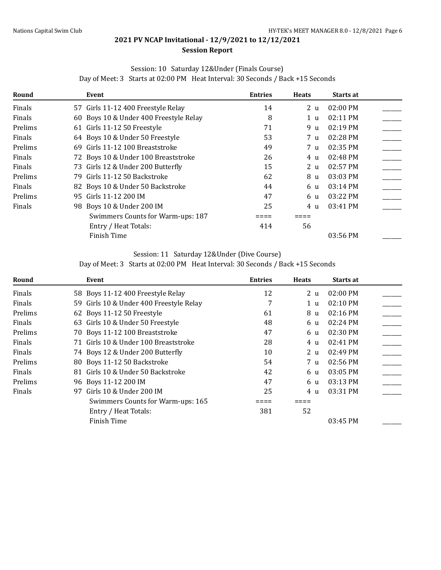#### Session: 10 Saturday 12&Under (Finals Course)

Day of Meet: 3 Starts at 02:00 PM Heat Interval: 30 Seconds / Back +15 Seconds

| Round   | Event                                  | <b>Entries</b> | <b>Heats</b>   | Starts at  |  |
|---------|----------------------------------------|----------------|----------------|------------|--|
| Finals  | 57 Girls 11-12 400 Freestyle Relay     | 14             | 2 <sub>u</sub> | 02:00 PM   |  |
| Finals  | 60 Boys 10 & Under 400 Freestyle Relay | 8              | 1 u            | $02:11$ PM |  |
| Prelims | 61 Girls 11-12 50 Freestyle            | 71             | 9 u            | 02:19 PM   |  |
| Finals  | 64 Boys 10 & Under 50 Freestyle        | 53             | 7 u            | $02:28$ PM |  |
| Prelims | 69 Girls 11-12 100 Breaststroke        | 49             | 7 u            | 02:35 PM   |  |
| Finals  | 72 Boys 10 & Under 100 Breaststroke    | 26             | 4 u            | 02:48 PM   |  |
| Finals  | 73 Girls 12 & Under 200 Butterfly      | 15             | 2 <sub>u</sub> | $02:57$ PM |  |
| Prelims | 79 Girls 11-12 50 Backstroke           | 62             | 8 u            | 03:03 PM   |  |
| Finals  | 82 Boys 10 & Under 50 Backstroke       | 44             | 6 u            | 03:14 PM   |  |
| Prelims | 95 Girls 11-12 200 IM                  | 47             | 6 u            | 03:22 PM   |  |
| Finals  | 98 Boys 10 & Under 200 IM              | 25             | 4 u            | 03:41 PM   |  |
|         | Swimmers Counts for Warm-ups: 187      |                |                |            |  |
|         | Entry / Heat Totals:                   | 414            | 56             |            |  |
|         | Finish Time                            |                |                | 03:56 PM   |  |

#### Session: 11 Saturday 12&Under (Dive Course)

Day of Meet: 3 Starts at 02:00 PM Heat Interval: 30 Seconds / Back +15 Seconds

| Round   | Event                                   | <b>Entries</b> | <b>Heats</b>   | <b>Starts at</b>   |  |
|---------|-----------------------------------------|----------------|----------------|--------------------|--|
| Finals  | 58 Boys 11-12 400 Freestyle Relay       | 12             | 2 <sub>u</sub> | 02:00 PM           |  |
| Finals  | 59 Girls 10 & Under 400 Freestyle Relay | 7              | 1 u            | 02:10 PM           |  |
| Prelims | 62 Boys 11-12 50 Freestyle              | 61             | 8 u            | $02:16$ PM         |  |
| Finals  | 63 Girls 10 & Under 50 Freestyle        | 48             | 6 u            | 02:24 PM           |  |
| Prelims | 70 Boys 11-12 100 Breaststroke          | 47             | 6 u            | 02:30 PM           |  |
| Finals  | 71 Girls 10 & Under 100 Breaststroke    | 28             | 4 u            | $02:41 \text{ PM}$ |  |
| Finals  | 74 Boys 12 & Under 200 Butterfly        | 10             | 2 u            | $02:49$ PM         |  |
| Prelims | 80 Boys 11-12 50 Backstroke             | 54             | 7 u            | $02:56$ PM         |  |
| Finals  | 81 Girls 10 & Under 50 Backstroke       | 42             | 6 u            | 03:05 PM           |  |
| Prelims | 96 Boys 11-12 200 IM                    | 47             | 6 u            | 03:13 PM           |  |
| Finals  | Girls 10 & Under 200 IM<br>97           | 25             | 4 u            | 03:31 PM           |  |
|         | Swimmers Counts for Warm-ups: 165       |                |                |                    |  |
|         | Entry / Heat Totals:                    | 381            | 52             |                    |  |
|         | Finish Time                             |                |                | 03:45 PM           |  |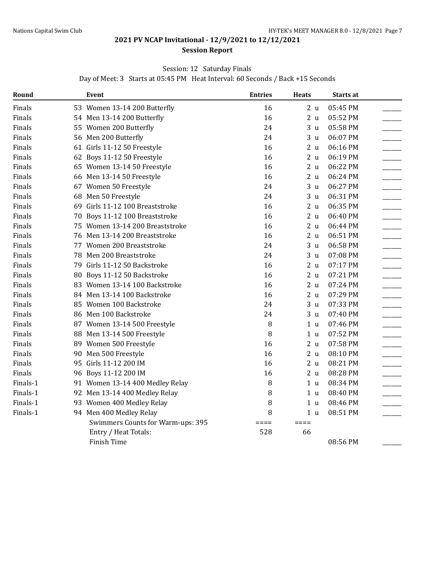#### **Session Report**

#### Session: 12 Saturday Finals

Day of Meet: 3 Starts at 05:45 PM Heat Interval: 60 Seconds / Back +15 Seconds

| Round    | Event                             | <b>Entries</b>  | <b>Heats</b>    | Starts at |  |
|----------|-----------------------------------|-----------------|-----------------|-----------|--|
| Finals   | 53 Women 13-14 200 Butterfly      | 16              | 2 <sub>u</sub>  | 05:45 PM  |  |
| Finals   | 54 Men 13-14 200 Butterfly        | 16              | 2 <sub>u</sub>  | 05:52 PM  |  |
| Finals   | 55 Women 200 Butterfly            | 24              | 3 <sub>u</sub>  | 05:58 PM  |  |
| Finals   | 56 Men 200 Butterfly              | 24              | 3 <sub>u</sub>  | 06:07 PM  |  |
| Finals   | 61 Girls 11-12 50 Freestyle       | 16              | 2 <sub>u</sub>  | 06:16 PM  |  |
| Finals   | 62 Boys 11-12 50 Freestyle        | 16              | 2 <sub>u</sub>  | 06:19 PM  |  |
| Finals   | 65 Women 13-14 50 Freestyle       | 16              | 2 <sub>u</sub>  | 06:22 PM  |  |
| Finals   | 66 Men 13-14 50 Freestyle         | 16              | 2 <sub>u</sub>  | 06:24 PM  |  |
| Finals   | 67 Women 50 Freestyle             | 24              | 3 <sub>u</sub>  | 06:27 PM  |  |
| Finals   | 68 Men 50 Freestyle               | 24              | 3 <sub>u</sub>  | 06:31 PM  |  |
| Finals   | 69 Girls 11-12 100 Breaststroke   | 16              | 2 <sub>u</sub>  | 06:35 PM  |  |
| Finals   | 70 Boys 11-12 100 Breaststroke    | 16              | 2 <sub>u</sub>  | 06:40 PM  |  |
| Finals   | 75 Women 13-14 200 Breaststroke   | 16              | 2 <sub>u</sub>  | 06:44 PM  |  |
| Finals   | 76 Men 13-14 200 Breaststroke     | 16              | 2 <sub>u</sub>  | 06:51 PM  |  |
| Finals   | 77 Women 200 Breaststroke         | 24              | 3 <sub>u</sub>  | 06:58 PM  |  |
| Finals   | 78 Men 200 Breaststroke           | 24              | 3 <sub>u</sub>  | 07:08 PM  |  |
| Finals   | 79 Girls 11-12 50 Backstroke      | 16              | 2 <sub>u</sub>  | 07:17 PM  |  |
| Finals   | 80 Boys 11-12 50 Backstroke       | 16              | 2 <sub>u</sub>  | 07:21 PM  |  |
| Finals   | 83 Women 13-14 100 Backstroke     | 16              | 2 <sub>u</sub>  | 07:24 PM  |  |
| Finals   | 84 Men 13-14 100 Backstroke       | 16              | 2 <sub>u</sub>  | 07:29 PM  |  |
| Finals   | 85 Women 100 Backstroke           | 24              | 3 <sub>u</sub>  | 07:33 PM  |  |
| Finals   | 86 Men 100 Backstroke             | 24              | 3 <sub>u</sub>  | 07:40 PM  |  |
| Finals   | 87 Women 13-14 500 Freestyle      | 8               | 1 <sub>u</sub>  | 07:46 PM  |  |
| Finals   | 88 Men 13-14 500 Freestyle        | 8               | 1 <sub>u</sub>  | 07:52 PM  |  |
| Finals   | 89 Women 500 Freestyle            | 16              | 2 <sub>u</sub>  | 07:58 PM  |  |
| Finals   | 90 Men 500 Freestyle              | 16              | 2 <sub>u</sub>  | 08:10 PM  |  |
| Finals   | 95 Girls 11-12 200 IM             | 16              | 2 <sub>u</sub>  | 08:21 PM  |  |
| Finals   | 96 Boys 11-12 200 IM              | 16              | 2 <sub>u</sub>  | 08:28 PM  |  |
| Finals-1 | 91 Women 13-14 400 Medley Relay   | 8               | 1 <sub>u</sub>  | 08:34 PM  |  |
| Finals-1 | 92 Men 13-14 400 Medley Relay     | 8               | 1 u             | 08:40 PM  |  |
| Finals-1 | 93 Women 400 Medley Relay         | 8               | 1 <sub>u</sub>  | 08:46 PM  |  |
| Finals-1 | 94 Men 400 Medley Relay           | 8               | 1 <sub>u</sub>  | 08:51 PM  |  |
|          | Swimmers Counts for Warm-ups: 395 | $=$ $=$ $=$ $=$ | $=$ $=$ $=$ $=$ |           |  |
|          | Entry / Heat Totals:              | 528             | 66              |           |  |
|          | Finish Time                       |                 |                 | 08:56 PM  |  |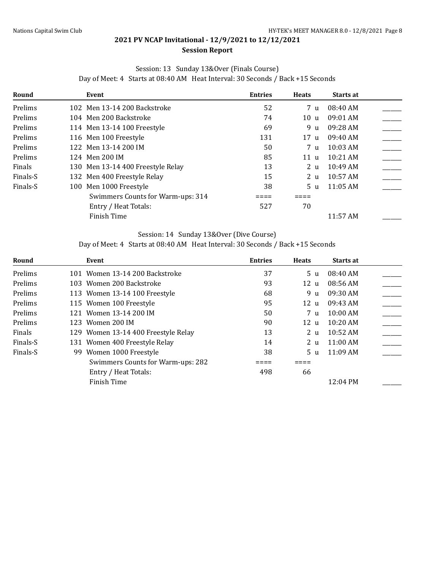#### **Session Report**

#### Session: 13 Sunday 13&Over (Finals Course)

Day of Meet: 4 Starts at 08:40 AM Heat Interval: 30 Seconds / Back +15 Seconds

| Round    | Event                             | <b>Entries</b> | <b>Heats</b>   | Starts at  |  |
|----------|-----------------------------------|----------------|----------------|------------|--|
| Prelims  | 102 Men 13-14 200 Backstroke      | 52             | 7 u            | 08:40 AM   |  |
| Prelims  | 104 Men 200 Backstroke            | 74             | 10u            | $09:01$ AM |  |
| Prelims  | 114 Men 13-14 100 Freestyle       | 69             | 9 u            | 09:28 AM   |  |
| Prelims  | 116 Men 100 Freestyle             | 131            | 17u            | 09:40 AM   |  |
| Prelims  | 122 Men 13-14 200 IM              | 50             | 7 u            | $10:03$ AM |  |
| Prelims  | 124 Men 200 IM                    | 85             | 11 u           | $10:21$ AM |  |
| Finals   | 130 Men 13-14 400 Freestyle Relay | 13             | 2 <sub>u</sub> | $10:49$ AM |  |
| Finals-S | 132 Men 400 Freestyle Relay       | 15             | 2 <sub>u</sub> | $10:57$ AM |  |
| Finals-S | 100 Men 1000 Freestyle            | 38             | 5 <sub>u</sub> | $11:05$ AM |  |
|          | Swimmers Counts for Warm-ups: 314 |                |                |            |  |
|          | Entry / Heat Totals:              | 527            | 70             |            |  |
|          | Finish Time                       |                |                | 11:57 AM   |  |

#### Session: 14 Sunday 13&Over (Dive Course)

Day of Meet: 4 Starts at 08:40 AM Heat Interval: 30 Seconds / Back +15 Seconds

| Round    | Event                               | <b>Entries</b> | <b>Heats</b>   | <b>Starts at</b>   |  |
|----------|-------------------------------------|----------------|----------------|--------------------|--|
| Prelims  | 101 Women 13-14 200 Backstroke      | 37             | 5 <sub>u</sub> | 08:40 AM           |  |
| Prelims  | 103 Women 200 Backstroke            | 93             | 12u            | 08:56 AM           |  |
| Prelims  | 113 Women 13-14 100 Freestyle       | 68             | 9 u            | 09:30 AM           |  |
| Prelims  | 115 Women 100 Freestyle             | 95             | 12u            | 09:43 AM           |  |
| Prelims  | 121 Women 13-14 200 IM              | 50             | 7 u            | $10:00$ AM         |  |
| Prelims  | 123 Women 200 IM                    | 90             | 12u            | $10:20$ AM         |  |
| Finals   | 129 Women 13-14 400 Freestyle Relay | 13             | 2 u            | $10:52 \text{ AM}$ |  |
| Finals-S | 131 Women 400 Freestyle Relay       | 14             | 2 u            | $11:00$ AM         |  |
| Finals-S | 99 Women 1000 Freestyle             | 38             | 5 <sub>u</sub> | $11:09$ AM         |  |
|          | Swimmers Counts for Warm-ups: 282   |                |                |                    |  |
|          | Entry / Heat Totals:                | 498            | 66             |                    |  |
|          | Finish Time                         |                |                | 12:04 PM           |  |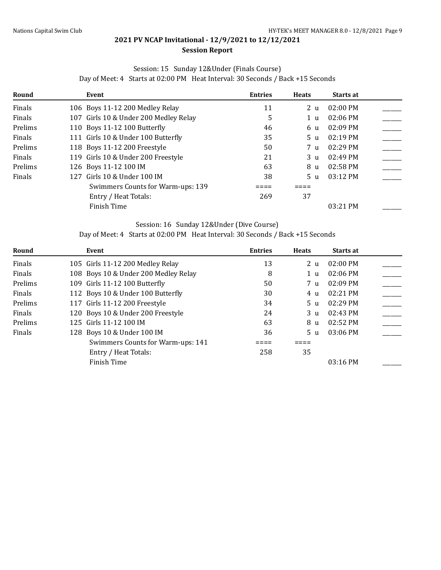# Session: 15 Sunday 12&Under (Finals Course)

| Round   | Event                                 | <b>Entries</b> | <b>Heats</b>   | <b>Starts at</b> |  |
|---------|---------------------------------------|----------------|----------------|------------------|--|
| Finals  | 106 Boys 11-12 200 Medley Relay       | 11             | 2 <sub>u</sub> | $02:00$ PM       |  |
| Finals  | 107 Girls 10 & Under 200 Medley Relay | 5              | 1 u            | $02:06$ PM       |  |
| Prelims | 110 Boys 11-12 100 Butterfly          | 46             | 6 u            | $02:09$ PM       |  |
| Finals  | 111 Girls 10 & Under 100 Butterfly    | 35             | 5 u            | $02:19$ PM       |  |
| Prelims | 118 Boys 11-12 200 Freestyle          | 50             | 7 u            | $02:29$ PM       |  |
| Finals  | 119 Girls 10 & Under 200 Freestyle    | 21             | 3 u            | $02:49$ PM       |  |
| Prelims | 126 Boys 11-12 100 IM                 | 63             | 8 u            | $02:58$ PM       |  |
| Finals  | 127 Girls 10 & Under 100 IM           | 38             | 5 u            | $03:12$ PM       |  |
|         | Swimmers Counts for Warm-ups: 139     |                |                |                  |  |
|         | Entry / Heat Totals:                  | 269            | 37             |                  |  |
|         | Finish Time                           |                |                | $03:21$ PM       |  |

#### Session: 16 Sunday 12&Under (Dive Course)

Day of Meet: 4 Starts at 02:00 PM Heat Interval: 30 Seconds / Back +15 Seconds

| Round   | Event                                | <b>Entries</b> | <b>Heats</b>   | Starts at          |  |
|---------|--------------------------------------|----------------|----------------|--------------------|--|
| Finals  | 105 Girls 11-12 200 Medley Relay     | 13             | 2 <sub>u</sub> | 02:00 PM           |  |
| Finals  | 108 Boys 10 & Under 200 Medley Relay | 8              | 1 u            | $02:06$ PM         |  |
| Prelims | 109 Girls 11-12 100 Butterfly        | 50             | 7 u            | $02:09$ PM         |  |
| Finals  | 112 Boys 10 & Under 100 Butterfly    | 30             | 4 u            | 02:21 PM           |  |
| Prelims | 117 Girls 11-12 200 Freestyle        | 34             | 5 <sub>u</sub> | $02:29$ PM         |  |
| Finals  | 120 Boys 10 & Under 200 Freestyle    | 24             | 3 <sub>u</sub> | $02:43 \text{ PM}$ |  |
| Prelims | 125 Girls 11-12 100 IM               | 63             | 8 u            | 02:52 PM           |  |
| Finals  | 128 Boys 10 & Under 100 IM           | 36             | 5 <sub>u</sub> | $03:06$ PM         |  |
|         | Swimmers Counts for Warm-ups: 141    |                |                |                    |  |
|         | Entry / Heat Totals:                 | 258            | 35             |                    |  |
|         | Finish Time                          |                |                | 03:16 PM           |  |